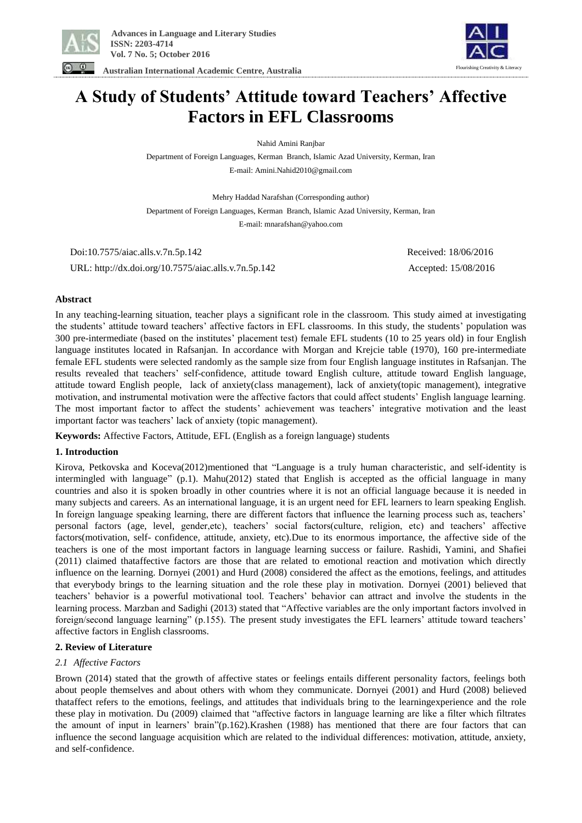

Flourishing Creativity & Literacy

**Australian International Academic Centre, Australia**

# **A Study of Students' Attitude toward Teachers' Affective Factors in EFL Classrooms**

Nahid Amini Ranjbar

Department of Foreign Languages, Kerman Branch, Islamic Azad University, Kerman, Iran E-mail: Amini.Nahid2010@gmail.com

Mehry Haddad Narafshan (Corresponding author)

Department of Foreign Languages, Kerman Branch, Islamic Azad University, Kerman, Iran

E-mail: mnarafshan@yahoo.com

 Doi:10.7575/aiac.alls.v.7n.5p.142 Received: 18/06/2016 URL: http://dx.doi.org/10.7575/aiac.alls.v.7n.5p.142 Accepted: 15/08/2016

## **Abstract**

In any teaching-learning situation, teacher plays a significant role in the classroom. This study aimed at investigating the students' attitude toward teachers' affective factors in EFL classrooms. In this study, the students' population was 300 pre-intermediate (based on the institutes' placement test) female EFL students (10 to 25 years old) in four English language institutes located in Rafsanjan. In accordance with Morgan and Krejcie table (1970), 160 pre-intermediate female EFL students were selected randomly as the sample size from four English language institutes in Rafsanjan. The results revealed that teachers' self-confidence, attitude toward English culture, attitude toward English language, attitude toward English people, lack of anxiety(class management), lack of anxiety(topic management), integrative motivation, and instrumental motivation were the affective factors that could affect students' English language learning. The most important factor to affect the students' achievement was teachers' integrative motivation and the least important factor was teachers' lack of anxiety (topic management).

**Keywords:** Affective Factors, Attitude, EFL (English as a foreign language) students

# **1. Introduction**

Kirova, Petkovska and Koceva(2012)mentioned that "Language is a truly human characteristic, and self-identity is intermingled with language" (p.1). Mahu(2012) stated that English is accepted as the official language in many countries and also it is spoken broadly in other countries where it is not an official language because it is needed in many subjects and careers. As an international language, it is an urgent need for EFL learners to learn speaking English. In foreign language speaking learning, there are different factors that influence the learning process such as, teachers' personal factors (age, level, gender,etc), teachers' social factors(culture, religion, etc) and teachers' affective factors(motivation, self- confidence, attitude, anxiety, etc).Due to its enormous importance, the affective side of the teachers is one of the most important factors in language learning success or failure. Rashidi, Yamini, and Shafiei (2011) claimed thataffective factors are those that are related to emotional reaction and motivation which directly influence on the learning. Dornyei (2001) and Hurd (2008) considered the affect as the emotions, feelings, and attitudes that everybody brings to the learning situation and the role these play in motivation. Dornyei (2001) believed that teachers' behavior is a powerful motivational tool. Teachers' behavior can attract and involve the students in the learning process. Marzban and Sadighi (2013) stated that "Affective variables are the only important factors involved in foreign/second language learning" (p.155). The present study investigates the EFL learners' attitude toward teachers' affective factors in English classrooms.

# **2. Review of Literature**

# *2.1 Affective Factors*

Brown (2014) stated that the growth of affective states or feelings entails different personality factors, feelings both about people themselves and about others with whom they communicate. Dornyei (2001) and Hurd (2008) believed thataffect refers to the emotions, feelings, and attitudes that individuals bring to the learningexperience and the role these play in motivation. Du (2009) claimed that "affective factors in language learning are like a filter which filtrates the amount of input in learners' brain"(p.162).Krashen (1988) has mentioned that there are four factors that can influence the second language acquisition which are related to the individual differences: motivation, attitude, anxiety, and self-confidence.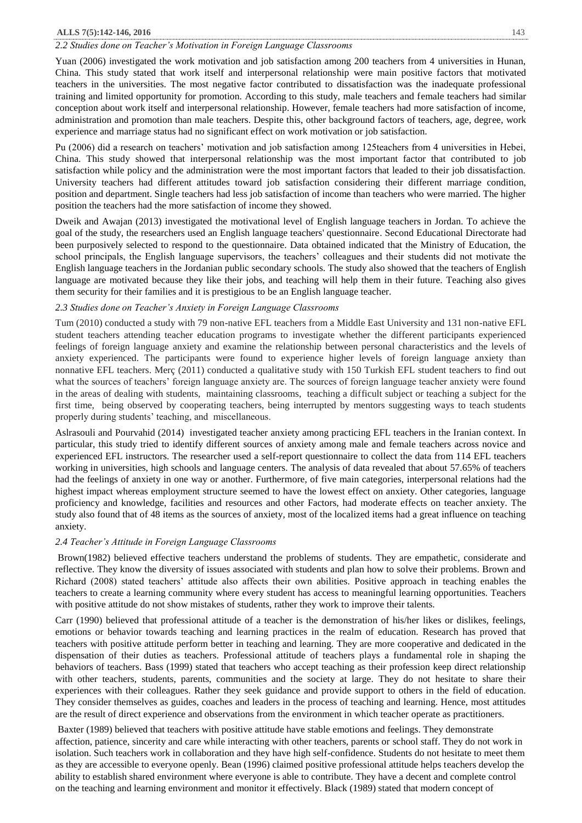## **ALLS 7(5):142-146, 2016** 143

### *2.2 Studies done on Teacher's Motivation in Foreign Language Classrooms*

Yuan (2006) investigated the work motivation and job satisfaction among 200 teachers from 4 universities in Hunan, China. This study stated that work itself and interpersonal relationship were main positive factors that motivated teachers in the universities. The most negative factor contributed to dissatisfaction was the inadequate professional training and limited opportunity for promotion. According to this study, male teachers and female teachers had similar conception about work itself and interpersonal relationship. However, female teachers had more satisfaction of income, administration and promotion than male teachers. Despite this, other background factors of teachers, age, degree, work experience and marriage status had no significant effect on work motivation or job satisfaction.

Pu (2006) did a research on teachers' motivation and job satisfaction among 125teachers from 4 universities in Hebei, China. This study showed that interpersonal relationship was the most important factor that contributed to job satisfaction while policy and the administration were the most important factors that leaded to their job dissatisfaction. University teachers had different attitudes toward job satisfaction considering their different marriage condition, position and department. Single teachers had less job satisfaction of income than teachers who were married. The higher position the teachers had the more satisfaction of income they showed.

Dweik and Awajan (2013) investigated the motivational level of English language teachers in Jordan. To achieve the goal of the study, the researchers used an English language teachers' questionnaire. Second Educational Directorate had been purposively selected to respond to the questionnaire. Data obtained indicated that the Ministry of Education, the school principals, the English language supervisors, the teachers' colleagues and their students did not motivate the English language teachers in the Jordanian public secondary schools. The study also showed that the teachers of English language are motivated because they like their jobs, and teaching will help them in their future. Teaching also gives them security for their families and it is prestigious to be an English language teacher.

## *2.3 Studies done on Teacher's Anxiety in Foreign Language Classrooms*

Tum (2010) conducted a study with 79 non-native EFL teachers from a Middle East University and 131 non-native EFL student teachers attending teacher education programs to investigate whether the different participants experienced feelings of foreign language anxiety and examine the relationship between personal characteristics and the levels of anxiety experienced. The participants were found to experience higher levels of foreign language anxiety than nonnative EFL teachers. Merç (2011) conducted a qualitative study with 150 Turkish EFL student teachers to find out what the sources of teachers' foreign language anxiety are. The sources of foreign language teacher anxiety were found in the areas of dealing with students, maintaining classrooms, teaching a difficult subject or teaching a subject for the first time, being observed by cooperating teachers, being interrupted by mentors suggesting ways to teach students properly during students' teaching, and miscellaneous.

Aslrasouli and Pourvahid (2014) investigated teacher anxiety among practicing EFL teachers in the Iranian context. In particular, this study tried to identify different sources of anxiety among male and female teachers across novice and experienced EFL instructors. The researcher used a self-report questionnaire to collect the data from 114 EFL teachers working in universities, high schools and language centers. The analysis of data revealed that about 57.65% of teachers had the feelings of anxiety in one way or another. Furthermore, of five main categories, interpersonal relations had the highest impact whereas employment structure seemed to have the lowest effect on anxiety. Other categories, language proficiency and knowledge, facilities and resources and other Factors, had moderate effects on teacher anxiety. The study also found that of 48 items as the sources of anxiety, most of the localized items had a great influence on teaching anxiety.

#### *2.4 Teacher's Attitude in Foreign Language Classrooms*

Brown(1982) believed effective teachers understand the problems of students. They are empathetic, considerate and reflective. They know the diversity of issues associated with students and plan how to solve their problems. Brown and Richard (2008) stated teachers' attitude also affects their own abilities. Positive approach in teaching enables the teachers to create a learning community where every student has access to meaningful learning opportunities. Teachers with positive attitude do not show mistakes of students, rather they work to improve their talents.

Carr (1990) believed that professional attitude of a teacher is the demonstration of his/her likes or dislikes, feelings, emotions or behavior towards teaching and learning practices in the realm of education. Research has proved that teachers with positive attitude perform better in teaching and learning. They are more cooperative and dedicated in the dispensation of their duties as teachers. Professional attitude of teachers plays a fundamental role in shaping the behaviors of teachers. Bass (1999) stated that teachers who accept teaching as their profession keep direct relationship with other teachers, students, parents, communities and the society at large. They do not hesitate to share their experiences with their colleagues. Rather they seek guidance and provide support to others in the field of education. They consider themselves as guides, coaches and leaders in the process of teaching and learning. Hence, most attitudes are the result of direct experience and observations from the environment in which teacher operate as practitioners.

Baxter (1989) believed that teachers with positive attitude have stable emotions and feelings. They demonstrate affection, patience, sincerity and care while interacting with other teachers, parents or school staff. They do not work in isolation. Such teachers work in collaboration and they have high self-confidence. Students do not hesitate to meet them as they are accessible to everyone openly. Bean (1996) claimed positive professional attitude helps teachers develop the ability to establish shared environment where everyone is able to contribute. They have a decent and complete control on the teaching and learning environment and monitor it effectively. Black (1989) stated that modern concept of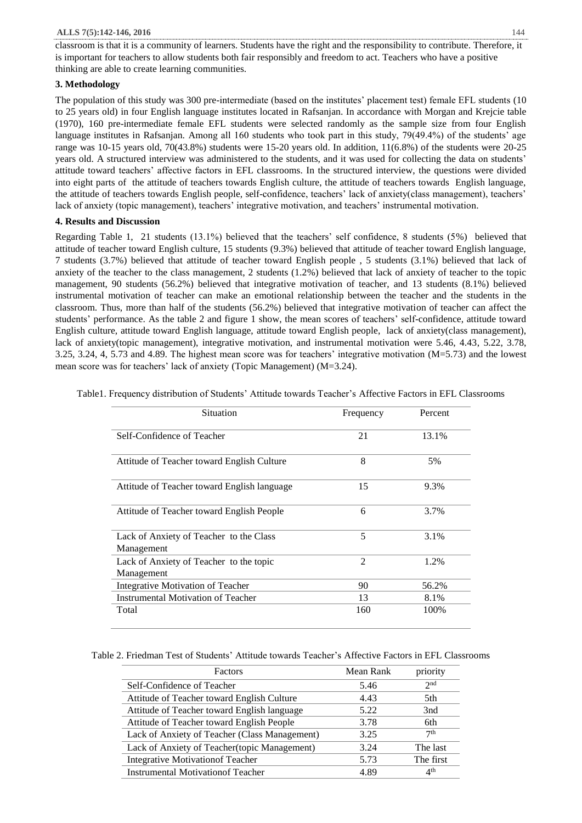#### **ALLS 7(5):142-146, 2016** 144

classroom is that it is a community of learners. Students have the right and the responsibility to contribute. Therefore, it is important for teachers to allow students both fair responsibly and freedom to act. Teachers who have a positive thinking are able to create learning communities.

# **3. Methodology**

The population of this study was 300 pre-intermediate (based on the institutes' placement test) female EFL students (10 to 25 years old) in four English language institutes located in Rafsanjan. In accordance with Morgan and Krejcie table (1970), 160 pre-intermediate female EFL students were selected randomly as the sample size from four English language institutes in Rafsanjan. Among all 160 students who took part in this study, 79(49.4%) of the students' age range was 10-15 years old, 70(43.8%) students were 15-20 years old. In addition, 11(6.8%) of the students were 20-25 years old. A structured interview was administered to the students, and it was used for collecting the data on students' attitude toward teachers' affective factors in EFL classrooms. In the structured interview, the questions were divided into eight parts of the attitude of teachers towards English culture, the attitude of teachers towards English language, the attitude of teachers towards English people, self-confidence, teachers' lack of anxiety(class management), teachers' lack of anxiety (topic management), teachers' integrative motivation, and teachers' instrumental motivation.

## **4. Results and Discussion**

Regarding Table 1, 21 students (13.1%) believed that the teachers' self confidence, 8 students (5%) believed that attitude of teacher toward English culture, 15 students (9.3%) believed that attitude of teacher toward English language, 7 students (3.7%) believed that attitude of teacher toward English people , 5 students (3.1%) believed that lack of anxiety of the teacher to the class management, 2 students (1.2%) believed that lack of anxiety of teacher to the topic management, 90 students (56.2%) believed that integrative motivation of teacher, and 13 students (8.1%) believed instrumental motivation of teacher can make an emotional relationship between the teacher and the students in the classroom. Thus, more than half of the students (56.2%) believed that integrative motivation of teacher can affect the students' performance. As the table 2 and figure 1 show, the mean scores of teachers' self-confidence, attitude toward English culture, attitude toward English language, attitude toward English people, lack of anxiety(class management), lack of anxiety(topic management), integrative motivation, and instrumental motivation were 5.46, 4.43, 5.22, 3.78, 3.25, 3.24, 4, 5.73 and 4.89. The highest mean score was for teachers' integrative motivation (M=5.73) and the lowest mean score was for teachers' lack of anxiety (Topic Management) (M=3.24).

| Situation                                             | Frequency | Percent |
|-------------------------------------------------------|-----------|---------|
| Self-Confidence of Teacher                            | 21        | 13.1%   |
| Attitude of Teacher toward English Culture            | 8         | 5%      |
| Attitude of Teacher toward English language           | 15        | 9.3%    |
| Attitude of Teacher toward English People             | 6         | 3.7%    |
| Lack of Anxiety of Teacher to the Class<br>Management | 5         | 3.1%    |
| Lack of Anxiety of Teacher to the topic<br>Management | 2         | 1.2%    |
| Integrative Motivation of Teacher                     | 90        | 56.2%   |
| Instrumental Motivation of Teacher                    | 13        | 8.1%    |
| Total                                                 | 160       | 100%    |

Table1. Frequency distribution of Students' Attitude towards Teacher's Affective Factors in EFL Classrooms

Table 2. Friedman Test of Students' Attitude towards Teacher's Affective Factors in EFL Classrooms

| Factors                                       | Mean Rank | priority        |
|-----------------------------------------------|-----------|-----------------|
| Self-Confidence of Teacher                    | 5.46      | 2 <sub>nd</sub> |
| Attitude of Teacher toward English Culture    | 4.43      | 5th             |
| Attitude of Teacher toward English language   | 5.22      | 3nd             |
| Attitude of Teacher toward English People     | 3.78      | 6th             |
| Lack of Anxiety of Teacher (Class Management) | 3.25      | 7 <sup>th</sup> |
| Lack of Anxiety of Teacher(topic Management)  | 3.24      | The last        |
| <b>Integrative Motivation of Teacher</b>      | 5.73      | The first       |
| <b>Instrumental Motivation of Teacher</b>     | 4.89      | 4 <sup>th</sup> |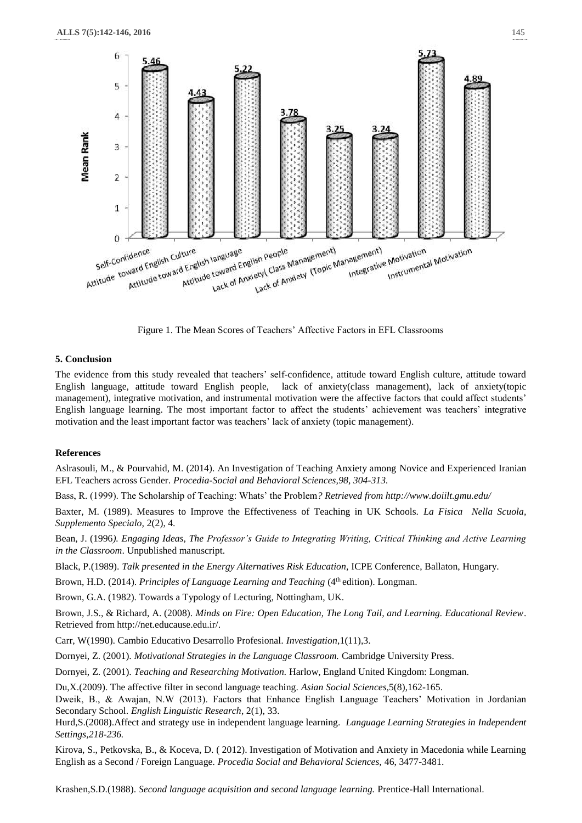

Figure 1. The Mean Scores of Teachers' Affective Factors in EFL Classrooms

## **5. Conclusion**

The evidence from this study revealed that teachers' self-confidence, attitude toward English culture, attitude toward English language, attitude toward English people, lack of anxiety(class management), lack of anxiety(topic management), integrative motivation, and instrumental motivation were the affective factors that could affect students' English language learning. The most important factor to affect the students' achievement was teachers' integrative motivation and the least important factor was teachers' lack of anxiety (topic management).

## **References**

Aslrasouli, M., & Pourvahid, M. (2014). An Investigation of Teaching Anxiety among Novice and Experienced Iranian EFL Teachers across Gender*. Procedia-Social and Behavioral Sciences,98, 304-313.*

Bass, R. (1999). The Scholarship of Teaching: Whats' the Problem*? Retrieved fro[m http://www.doiilt.gmu.edu/](http://www.doiilt.gmu.edu/)*

Baxter, M. (1989). Measures to Improve the Effectiveness of Teaching in UK Schools. *La Fisica Nella Scuola, Supplemento Specialo,* 2(2), 4.

Bean, J. (1996*). Engaging Ideas, The Professor's Guide to Integrating Writing, Critical Thinking and Active Learning in the Classroom*. Unpublished manuscript.

Black, P.(1989). *Talk presented in the Energy Alternatives Risk Education,* ICPE Conference, Ballaton, Hungary.

Brown, H.D. (2014). *Principles of Language Learning and Teaching* (4<sup>th</sup> edition). Longman.

Brown, G.A. (1982). Towards a Typology of Lecturing, Nottingham, UK.

Brown, J.S., & Richard, A. (2008). *Minds on Fire: Open Education, The Long Tail, and Learning. Educational Review*. Retrieved from http://net.educause.edu.ir/.

Carr, W(1990). Cambio Educativo Desarrollo Profesional*. Investigation*,1(11),3.

Dornyei, Z. (2001). *Motivational Strategies in the Language Classroom.* Cambridge University Press.

Dornyei, Z. (2001). *Teaching and Researching Motivation.* Harlow, England United Kingdom: Longman.

Du,X.(2009). The affective filter in second language teaching. *Asian Social Sciences,*5(8),162-165.

Dweik, B., & Awajan, N.W (2013). Factors that Enhance English Language Teachers' Motivation in Jordanian Secondary School. *English Linguistic Research*, 2(1), 33.

Hurd,S.(2008).Affect and strategy use in independent language learning. *Language Learning Strategies in Independent Settings,218-236.*

Kirova, S., Petkovska, B., & Koceva, D. ( 2012). Investigation of Motivation and Anxiety in Macedonia while Learning English as a Second / Foreign Language*. Procedia Social and Behavioral Sciences,* 46, 3477-3481.

Krashen,S.D.(1988). *Second language acquisition and second language learning.* Prentice-Hall International.